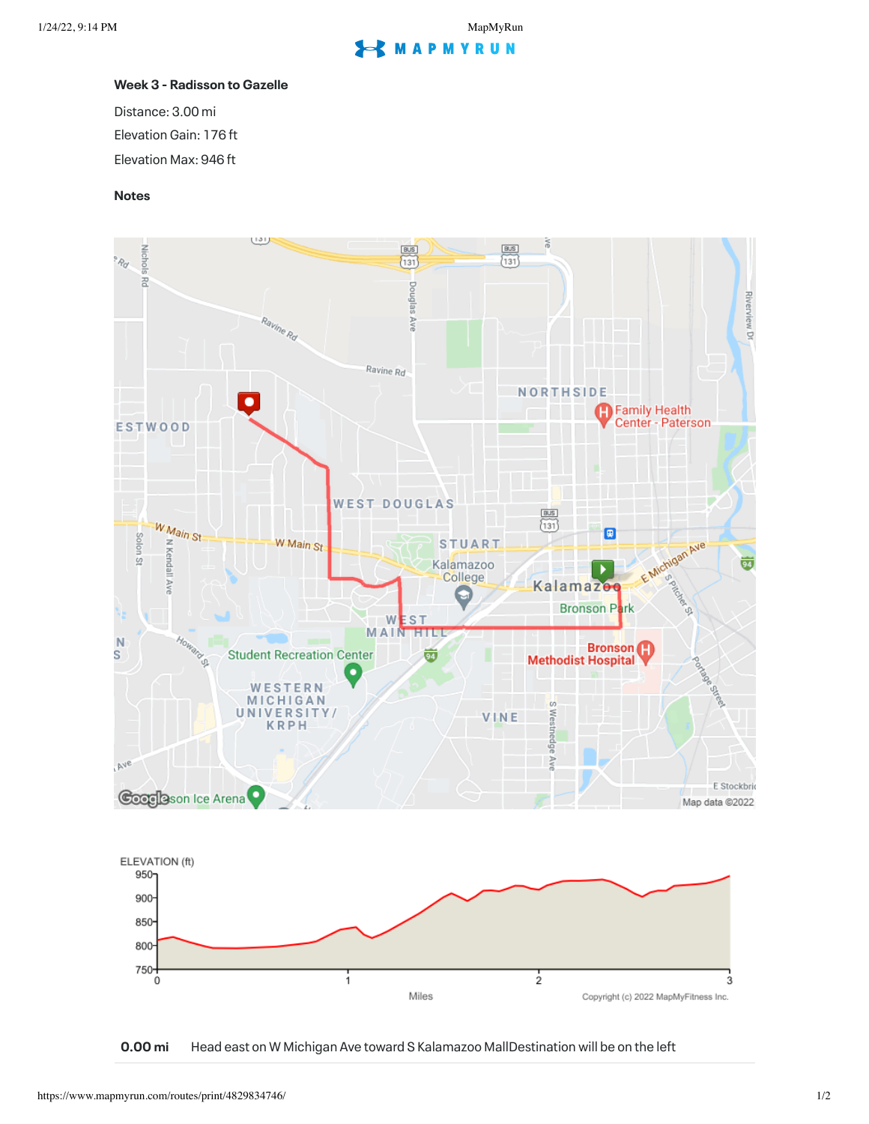## **S** MAPMYRUN

## **Week 3 - Radisson to Gazelle**

Distance: 3.00 mi Elevation Gain: 176 ft Elevation Max: 946 ft

## **Notes**